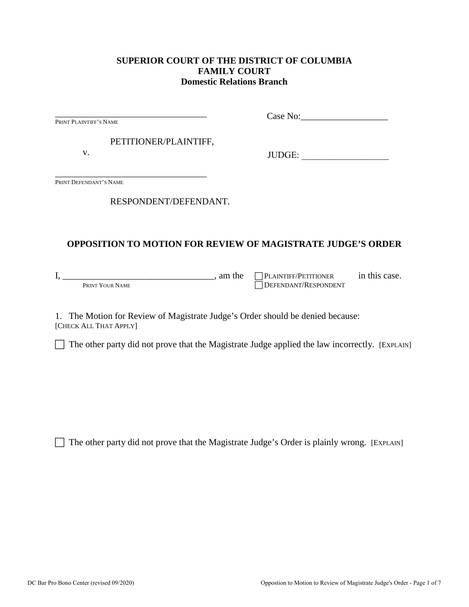#### **SUPERIOR COURT OF THE DISTRICT OF COLUMBIA FAMILY COURT Domestic Relations Branch**

| PRINT PLAINTIFF'S NAME |                                                                                | Case No:                                                   |  |
|------------------------|--------------------------------------------------------------------------------|------------------------------------------------------------|--|
|                        | PETITIONER/PLAINTIFF,                                                          |                                                            |  |
| V.                     |                                                                                | JUDGE:<br><u> 1980 - Jan Barbara Barbara, manazarta </u>   |  |
| PRINT DEFENDANT'S NAME |                                                                                |                                                            |  |
|                        | RESPONDENT/DEFENDANT.                                                          |                                                            |  |
|                        |                                                                                |                                                            |  |
|                        | <b>OPPOSITION TO MOTION FOR REVIEW OF MAGISTRATE JUDGE'S ORDER</b>             |                                                            |  |
| PRINT YOUR NAME        | $I,$ am the                                                                    | PLAINTIFF/PETITIONER in this case.<br>DEFENDANT/RESPONDENT |  |
| [CHECK ALL THAT APPLY] | 1. The Motion for Review of Magistrate Judge's Order should be denied because: |                                                            |  |

 $\Box$  The other party did not prove that the Magistrate Judge applied the law incorrectly. [EXPLAIN]

 $\Box$  The other party did not prove that the Magistrate Judge's Order is plainly wrong. [EXPLAIN]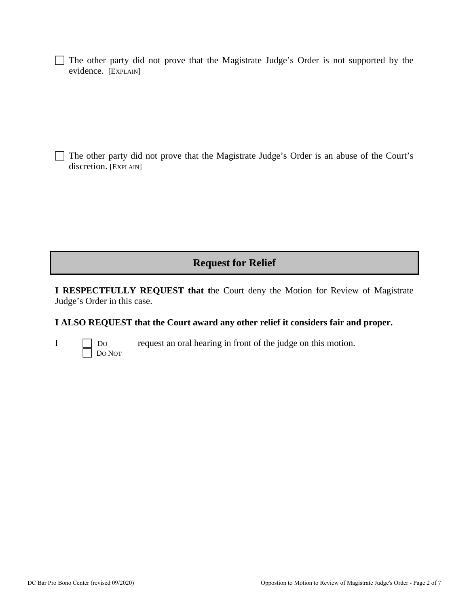$\Box$  The other party did not prove that the Magistrate Judge's Order is not supported by the evidence. [EXPLAIN]

 $\Box$  The other party did not prove that the Magistrate Judge's Order is an abuse of the Court's discretion. [EXPLAIN]

# **Request for Relief**

**I RESPECTFULLY REQUEST that t**he Court deny the Motion for Review of Magistrate Judge's Order in this case.

### **I ALSO REQUEST that the Court award any other relief it considers fair and proper.**

| ×, |  |  |  |
|----|--|--|--|
|    |  |  |  |
|    |  |  |  |
|    |  |  |  |
|    |  |  |  |

I Do request an oral hearing in front of the judge on this motion. DO NOT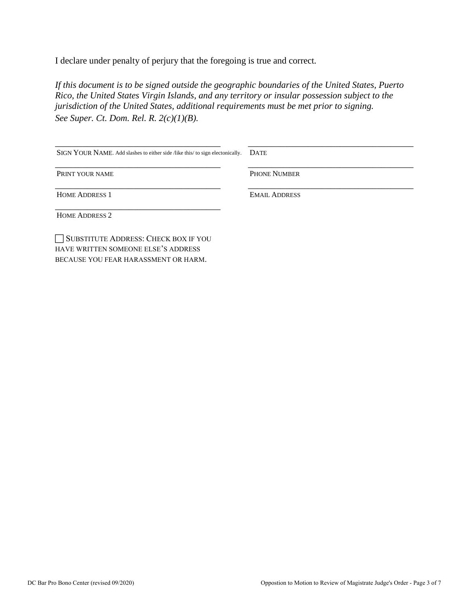I declare under penalty of perjury that the foregoing is true and correct*.* 

*If this document is to be signed outside the geographic boundaries of the United States, Puerto Rico, the United States Virgin Islands, and any territory or insular possession subject to the jurisdiction of the United States, additional requirements must be met prior to signing. See Super. Ct. Dom. Rel. R. 2(c)(1)(B).*

| SIGN YOUR NAME. Add slashes to either side /like this/ to sign electonically. | <b>DATE</b>          |
|-------------------------------------------------------------------------------|----------------------|
| PRINT YOUR NAME                                                               | <b>PHONE NUMBER</b>  |
| <b>HOME ADDRESS 1</b>                                                         | <b>EMAIL ADDRESS</b> |
| <b>HOME ADDRESS 2</b>                                                         |                      |
| SUBSTITUTE ADDRESS: CHECK BOX IF YOU<br>HAVE WRITTEN SOMEONE ELSE'S ADDRESS   |                      |

BECAUSE YOU FEAR HARASSMENT OR HARM.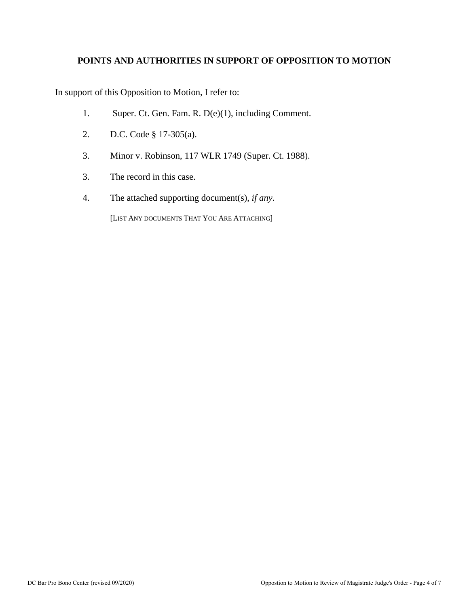#### **POINTS AND AUTHORITIES IN SUPPORT OF OPPOSITION TO MOTION**

In support of this Opposition to Motion, I refer to:

- 1. Super. Ct. Gen. Fam. R. D(e)(1), including Comment.
- 2. D.C. Code § 17-305(a).
- 3. Minor v. Robinson, 117 WLR 1749 (Super. Ct. 1988).
- 3. The record in this case.
- 4. The attached supporting document(s), *if any*.

[LIST ANY DOCUMENTS THAT YOU ARE ATTACHING]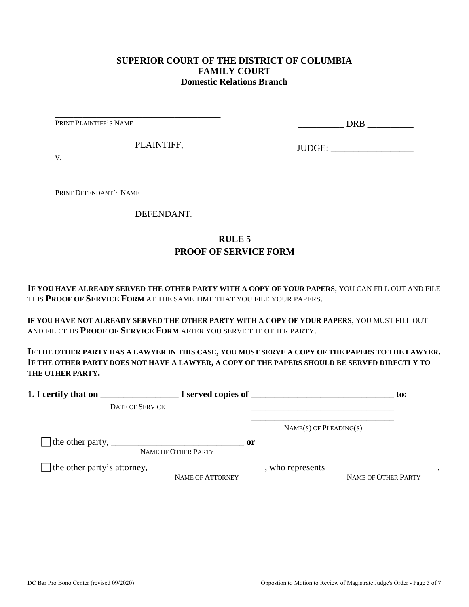#### **SUPERIOR COURT OF THE DISTRICT OF COLUMBIA FAMILY COURT Domestic Relations Branch**

PRINT PLAINTIFF'S NAME

\_\_\_\_\_\_\_\_\_\_ DRB \_\_\_\_\_\_\_\_\_\_

PLAINTIFF,

\_\_\_\_\_\_\_\_\_\_\_\_\_\_\_\_\_\_\_\_\_\_\_\_\_\_\_\_\_\_\_\_\_\_\_\_

\_\_\_\_\_\_\_\_\_\_\_\_\_\_\_\_\_\_\_\_\_\_\_\_\_\_\_\_\_\_\_\_\_\_\_\_

JUDGE: \_\_\_\_\_\_\_\_\_\_\_\_\_\_\_\_\_\_

v.

PRINT DEFENDANT'S NAME

DEFENDANT.

## **RULE 5 PROOF OF SERVICE FORM**

**IF YOU HAVE ALREADY SERVED THE OTHER PARTY WITH A COPY OF YOUR PAPERS**, YOU CAN FILL OUT AND FILE THIS **PROOF OF SERVICE FORM** AT THE SAME TIME THAT YOU FILE YOUR PAPERS.

**IF YOU HAVE NOT ALREADY SERVED THE OTHER PARTY WITH A COPY OF YOUR PAPERS**, YOU MUST FILL OUT AND FILE THIS **PROOF OF SERVICE FORM** AFTER YOU SERVE THE OTHER PARTY.

**IF THE OTHER PARTY HAS A LAWYER IN THIS CASE, YOU MUST SERVE A COPY OF THE PAPERS TO THE LAWYER. IF THE OTHER PARTY DOES NOT HAVE A LAWYER, A COPY OF THE PAPERS SHOULD BE SERVED DIRECTLY TO THE OTHER PARTY.** 

| 1. I certify that on                                                                                      |                                      | $\blacksquare$ $\blacksquare$ I served copies of $\blacksquare$ | $\mathbf{to}$ :     |
|-----------------------------------------------------------------------------------------------------------|--------------------------------------|-----------------------------------------------------------------|---------------------|
| <b>DATE OF SERVICE</b>                                                                                    |                                      |                                                                 |                     |
|                                                                                                           |                                      | $NAME(S)$ OF PLEADING(S)                                        |                     |
| The other party, $\frac{1}{\sqrt{1-\frac{1}{2}}}\left\lfloor \frac{1}{2}\right\rfloor$                    | $\mathbf{or}$<br>NAME OF OTHER PARTY |                                                                 |                     |
| The other party's attorney, _______________________________, who represents ____________________________. | NAME OF ATTORNEY                     |                                                                 | NAME OF OTHER PARTY |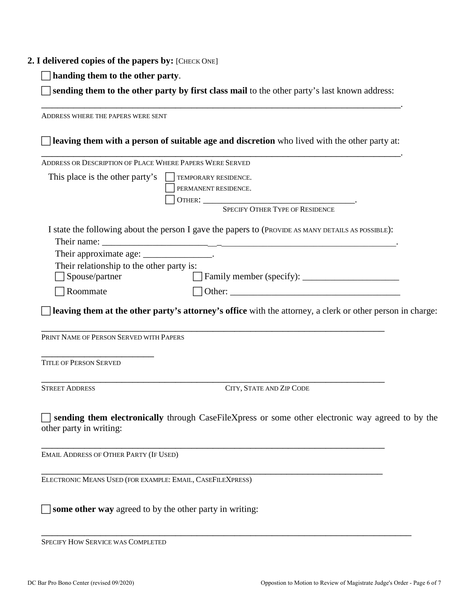#### **2. I delivered copies of the papers by:** [CHECK ONE]

**handing them to the other party**.

 **sending them to the other party by first class mail** to the other party's last known address: \_\_\_\_\_\_\_\_\_\_\_\_\_\_\_\_\_\_\_\_\_\_\_\_\_\_\_\_\_\_\_\_\_\_\_\_\_\_\_\_\_\_\_\_\_\_\_\_\_\_\_\_\_\_\_\_\_\_\_\_\_\_\_\_\_\_\_.

ADDRESS WHERE THE PAPERS WERE SENT **leaving them with a person of suitable age and discretion** who lived with the other party at: \_\_\_\_\_\_\_\_\_\_\_\_\_\_\_\_\_\_\_\_\_\_\_\_\_\_\_\_\_\_\_\_\_\_\_\_\_\_\_\_\_\_\_\_\_\_\_\_\_\_\_\_\_\_\_\_\_\_\_\_\_\_\_\_\_\_\_. ADDRESS OR DESCRIPTION OF PLACE WHERE PAPERS WERE SERVED This place is the other party's  $\Box$  TEMPORARY RESIDENCE. PERMANENT RESIDENCE. OTHER: \_\_\_\_\_\_\_\_\_\_\_\_\_\_\_\_\_\_\_\_\_\_\_\_\_\_\_\_\_\_\_\_\_. SPECIFY OTHER TYPE OF RESIDENCE I state the following about the person I gave the papers to (PROVIDE AS MANY DETAILS AS POSSIBLE): Their name: Their approximate age: \_\_\_\_\_\_\_\_\_\_\_\_\_\_\_\_. Their relationship to the other party is: □ Spouse/partner Family member (specify): \_\_\_\_\_\_\_\_\_\_\_\_\_\_\_\_\_\_\_\_\_\_\_\_\_\_  $\Box$  Roommate  $\Box$  Other: **leaving them at the other party's attorney's office** with the attorney, a clerk or other person in charge: \_\_\_\_\_\_\_\_\_\_\_\_\_\_\_\_\_\_\_\_\_\_\_\_\_\_\_\_\_\_\_\_\_\_\_\_\_\_\_\_\_\_\_\_\_\_\_\_\_\_\_\_\_\_\_\_\_\_\_\_\_\_\_\_ PRINT NAME OF PERSON SERVED WITH PAPERS \_\_\_\_\_\_\_\_\_\_\_\_\_\_\_\_\_\_\_\_\_ TITLE OF PERSON SERVED \_\_\_\_\_\_\_\_\_\_\_\_\_\_\_\_\_\_\_\_\_\_\_\_\_\_\_\_\_\_\_\_\_\_\_\_\_\_\_\_\_\_\_\_\_\_\_\_\_\_\_\_\_\_\_\_\_\_\_\_\_\_\_\_ STREET ADDRESS CITY, STATE AND ZIP CODE **sending them electronically** through CaseFileXpress or some other electronic way agreed to by the other party in writing: \_\_\_\_\_\_\_\_\_\_\_\_\_\_\_\_\_\_\_\_\_\_\_\_\_\_\_\_\_\_\_\_\_\_\_\_\_\_\_\_\_\_\_\_\_\_\_\_\_\_\_\_\_\_\_\_\_\_\_\_\_\_\_\_ EMAIL ADDRESS OF OTHER PARTY (IF USED) \_\_\_\_\_\_\_\_\_\_\_\_\_\_\_\_\_\_\_\_\_\_\_\_\_\_\_\_\_\_\_\_\_\_\_\_\_\_\_\_\_\_\_\_\_\_\_\_\_\_\_\_\_\_\_\_\_\_\_\_\_\_\_\_ ELECTRONIC MEANS USED (FOR EXAMPLE: EMAIL, CASEFILEXPRESS) **some other way** agreed to by the other party in writing:

\_\_\_\_\_\_\_\_\_\_\_\_\_\_\_\_\_\_\_\_\_\_\_\_\_\_\_\_\_\_\_\_\_\_\_\_\_\_\_\_\_\_\_\_\_\_\_\_\_\_\_\_\_\_\_\_\_\_\_\_\_\_\_\_\_\_\_\_\_ SPECIFY HOW SERVICE WAS COMPLETED